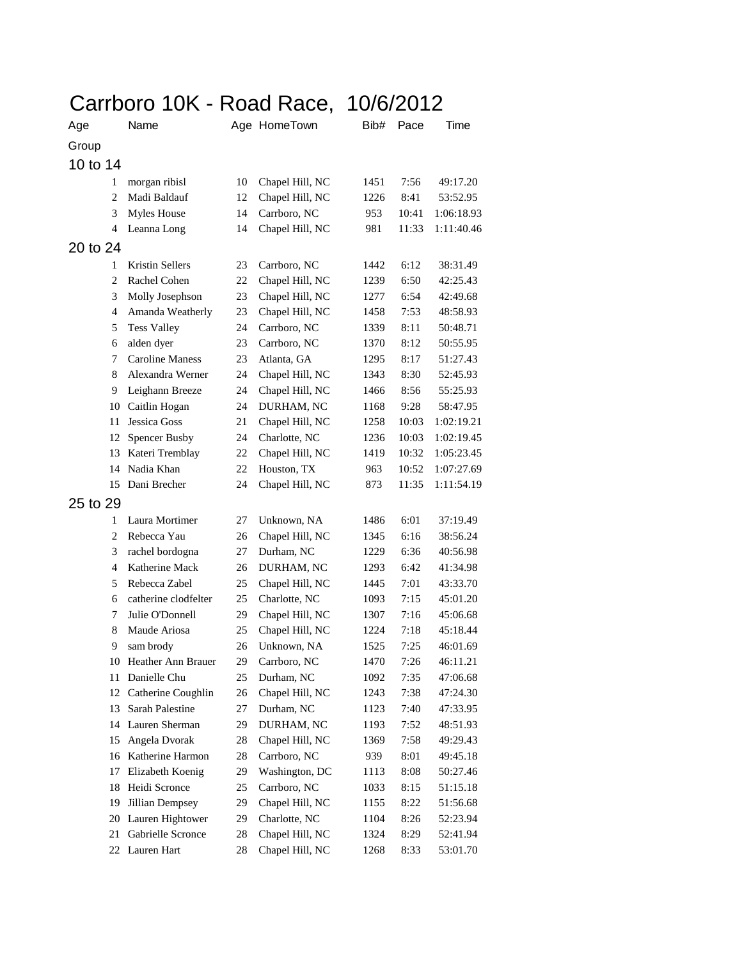|                | Carrboro 10K - Road Race, 10/6/2012 |    |                 |      |       |            |  |
|----------------|-------------------------------------|----|-----------------|------|-------|------------|--|
| Age            | Name                                |    | Age HomeTown    | Bib# | Pace  | Time       |  |
| Group          |                                     |    |                 |      |       |            |  |
| 10 to 14       |                                     |    |                 |      |       |            |  |
| 1              | morgan ribisl                       | 10 | Chapel Hill, NC | 1451 | 7:56  | 49:17.20   |  |
| 2              | Madi Baldauf                        | 12 | Chapel Hill, NC | 1226 | 8:41  | 53:52.95   |  |
| 3              | <b>Myles House</b>                  | 14 | Carrboro, NC    | 953  | 10:41 | 1:06:18.93 |  |
| 4              | Leanna Long                         | 14 | Chapel Hill, NC | 981  | 11:33 | 1:11:40.46 |  |
| 20 to 24       |                                     |    |                 |      |       |            |  |
| 1              | Kristin Sellers                     | 23 | Carrboro, NC    | 1442 | 6:12  | 38:31.49   |  |
| $\overline{c}$ | Rachel Cohen                        | 22 | Chapel Hill, NC | 1239 | 6:50  | 42:25.43   |  |
| 3              | Molly Josephson                     | 23 | Chapel Hill, NC | 1277 | 6:54  | 42:49.68   |  |
| $\overline{4}$ | Amanda Weatherly                    | 23 | Chapel Hill, NC | 1458 | 7:53  | 48:58.93   |  |
| 5              | <b>Tess Valley</b>                  | 24 | Carrboro, NC    | 1339 | 8:11  | 50:48.71   |  |
| 6              | alden dyer                          | 23 | Carrboro, NC    | 1370 | 8:12  | 50:55.95   |  |
| 7              | <b>Caroline Maness</b>              | 23 | Atlanta, GA     | 1295 | 8:17  | 51:27.43   |  |
| 8              | Alexandra Werner                    | 24 | Chapel Hill, NC | 1343 | 8:30  | 52:45.93   |  |
| 9              | Leighann Breeze                     | 24 | Chapel Hill, NC | 1466 | 8:56  | 55:25.93   |  |
| 10             | Caitlin Hogan                       | 24 | DURHAM, NC      | 1168 | 9:28  | 58:47.95   |  |
| 11             | Jessica Goss                        | 21 | Chapel Hill, NC | 1258 | 10:03 | 1:02:19.21 |  |
| 12             | <b>Spencer Busby</b>                | 24 | Charlotte, NC   | 1236 | 10:03 | 1:02:19.45 |  |
| 13             | Kateri Tremblay                     | 22 | Chapel Hill, NC | 1419 | 10:32 | 1:05:23.45 |  |
| 14             | Nadia Khan                          | 22 | Houston, TX     | 963  | 10:52 | 1:07:27.69 |  |
| 15             | Dani Brecher                        | 24 | Chapel Hill, NC | 873  | 11:35 | 1:11:54.19 |  |
| 25 to 29       |                                     |    |                 |      |       |            |  |
| 1              | Laura Mortimer                      | 27 | Unknown, NA     | 1486 | 6:01  | 37:19.49   |  |
| 2              | Rebecca Yau                         | 26 | Chapel Hill, NC | 1345 | 6:16  | 38:56.24   |  |
| 3              | rachel bordogna                     | 27 | Durham, NC      | 1229 | 6:36  | 40:56.98   |  |
| $\overline{4}$ | Katherine Mack                      | 26 | DURHAM, NC      | 1293 | 6:42  | 41:34.98   |  |
| 5              | Rebecca Zabel                       | 25 | Chapel Hill, NC | 1445 | 7:01  | 43:33.70   |  |
| 6              | catherine clodfelter                | 25 | Charlotte, NC   | 1093 | 7:15  | 45:01.20   |  |
| 7              | Julie O'Donnell                     | 29 | Chapel Hill, NC | 1307 | 7:16  | 45:06.68   |  |
| 8              | Maude Ariosa                        | 25 | Chapel Hill, NC | 1224 | 7:18  | 45:18.44   |  |
| 9              | sam brody                           | 26 | Unknown, NA     | 1525 | 7:25  | 46:01.69   |  |
| 10             | Heather Ann Brauer                  | 29 | Carrboro, NC    | 1470 | 7:26  | 46:11.21   |  |
| 11             | Danielle Chu                        | 25 | Durham, NC      | 1092 | 7:35  | 47:06.68   |  |
| 12             | Catherine Coughlin                  | 26 | Chapel Hill, NC | 1243 | 7:38  | 47:24.30   |  |
| 13             | Sarah Palestine                     | 27 | Durham, NC      | 1123 | 7:40  | 47:33.95   |  |
| 14             | Lauren Sherman                      | 29 | DURHAM, NC      | 1193 | 7:52  | 48:51.93   |  |
| 15             | Angela Dvorak                       | 28 | Chapel Hill, NC | 1369 | 7:58  | 49:29.43   |  |
| 16             | Katherine Harmon                    | 28 | Carrboro, NC    | 939  | 8:01  | 49:45.18   |  |
| 17             | Elizabeth Koenig                    | 29 | Washington, DC  | 1113 | 8:08  | 50:27.46   |  |
| 18             | Heidi Scronce                       | 25 | Carrboro, NC    | 1033 | 8:15  | 51:15.18   |  |
| 19             | Jillian Dempsey                     | 29 | Chapel Hill, NC | 1155 | 8:22  | 51:56.68   |  |
| 20             | Lauren Hightower                    | 29 | Charlotte, NC   | 1104 | 8:26  | 52:23.94   |  |
| 21             | Gabrielle Scronce                   | 28 | Chapel Hill, NC | 1324 | 8:29  | 52:41.94   |  |
| 22             | Lauren Hart                         | 28 | Chapel Hill, NC | 1268 | 8:33  | 53:01.70   |  |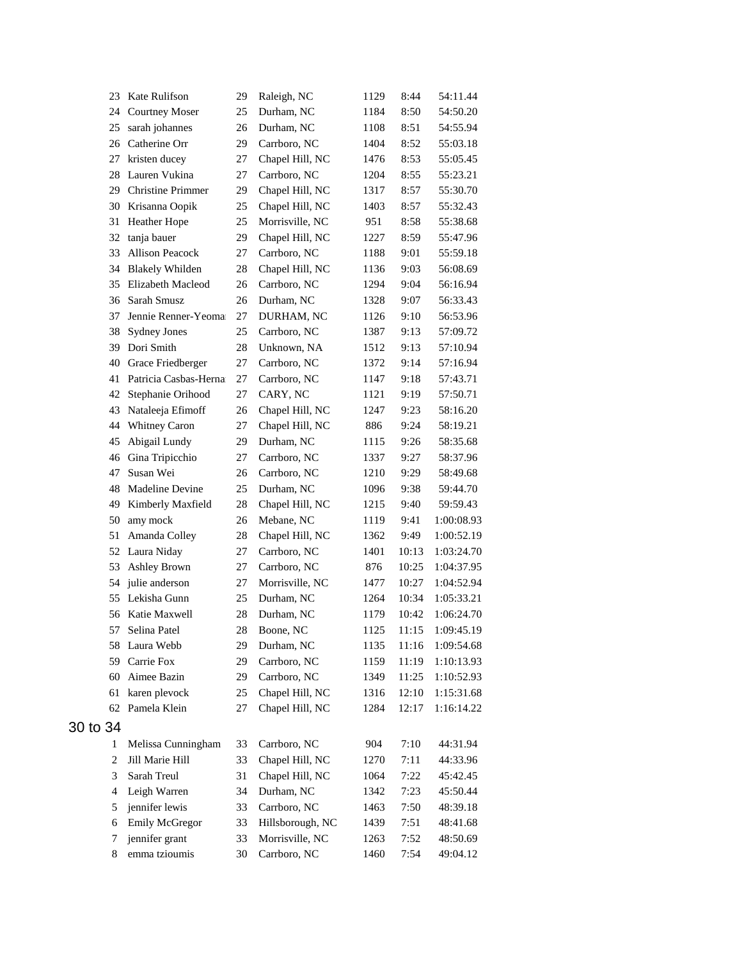| 23             | Kate Rulifson            | 29 | Raleigh, NC      | 1129 | 8:44  | 54:11.44   |
|----------------|--------------------------|----|------------------|------|-------|------------|
| 24             | <b>Courtney Moser</b>    | 25 | Durham, NC       | 1184 | 8:50  | 54:50.20   |
| 25             | sarah johannes           | 26 | Durham, NC       | 1108 | 8:51  | 54:55.94   |
| 26             | Catherine Orr            | 29 | Carrboro, NC     | 1404 | 8:52  | 55:03.18   |
| 27             | kristen ducey            | 27 | Chapel Hill, NC  | 1476 | 8:53  | 55:05.45   |
| 28             | Lauren Vukina            | 27 | Carrboro, NC     | 1204 | 8:55  | 55:23.21   |
| 29             | <b>Christine Primmer</b> | 29 | Chapel Hill, NC  | 1317 | 8:57  | 55:30.70   |
| 30             | Krisanna Oopik           | 25 | Chapel Hill, NC  | 1403 | 8:57  | 55:32.43   |
| 31             | Heather Hope             | 25 | Morrisville, NC  | 951  | 8:58  | 55:38.68   |
| 32             | tanja bauer              | 29 | Chapel Hill, NC  | 1227 | 8:59  | 55:47.96   |
| 33             | <b>Allison Peacock</b>   | 27 | Carrboro, NC     | 1188 | 9:01  | 55:59.18   |
| 34             | <b>Blakely Whilden</b>   | 28 | Chapel Hill, NC  | 1136 | 9:03  | 56:08.69   |
| 35             | Elizabeth Macleod        | 26 | Carrboro, NC     | 1294 | 9:04  | 56:16.94   |
| 36             | Sarah Smusz              | 26 | Durham, NC       | 1328 | 9:07  | 56:33.43   |
| 37             | Jennie Renner-Yeoma      | 27 | DURHAM, NC       | 1126 | 9:10  | 56:53.96   |
| 38             | <b>Sydney Jones</b>      | 25 | Carrboro, NC     | 1387 | 9:13  | 57:09.72   |
| 39             | Dori Smith               | 28 | Unknown, NA      | 1512 | 9:13  | 57:10.94   |
| 40             | Grace Friedberger        | 27 | Carrboro, NC     | 1372 | 9:14  | 57:16.94   |
| 41             | Patricia Casbas-Herna    | 27 | Carrboro, NC     | 1147 | 9:18  | 57:43.71   |
| 42             | Stephanie Orihood        | 27 | CARY, NC         | 1121 | 9:19  | 57:50.71   |
| 43             | Nataleeja Efimoff        | 26 | Chapel Hill, NC  | 1247 | 9:23  | 58:16.20   |
| 44             | Whitney Caron            | 27 | Chapel Hill, NC  | 886  | 9:24  | 58:19.21   |
| 45             | Abigail Lundy            | 29 | Durham, NC       | 1115 | 9:26  | 58:35.68   |
| 46             | Gina Tripicchio          | 27 | Carrboro, NC     | 1337 | 9:27  | 58:37.96   |
| 47             | Susan Wei                | 26 | Carrboro, NC     | 1210 | 9:29  | 58:49.68   |
| 48             | Madeline Devine          | 25 | Durham, NC       | 1096 | 9:38  | 59:44.70   |
| 49             | Kimberly Maxfield        | 28 | Chapel Hill, NC  | 1215 | 9:40  | 59:59.43   |
| 50             | amy mock                 | 26 | Mebane, NC       | 1119 | 9:41  | 1:00:08.93 |
| 51             | Amanda Colley            | 28 | Chapel Hill, NC  | 1362 | 9:49  | 1:00:52.19 |
| 52             | Laura Niday              | 27 | Carrboro, NC     | 1401 | 10:13 | 1:03:24.70 |
| 53             | <b>Ashley Brown</b>      | 27 | Carrboro, NC     | 876  | 10:25 | 1:04:37.95 |
| 54             | julie anderson           | 27 | Morrisville, NC  | 1477 | 10:27 | 1:04:52.94 |
| 55             | Lekisha Gunn             | 25 | Durham, NC       | 1264 | 10:34 | 1:05:33.21 |
| 56             | Katie Maxwell            | 28 | Durham, NC       | 1179 | 10:42 | 1:06:24.70 |
| 57             | Selina Patel             | 28 | Boone, NC        | 1125 | 11:15 | 1:09:45.19 |
|                | 58 Laura Webb            | 29 | Durham, NC       | 1135 | 11:16 | 1:09:54.68 |
| 59             | Carrie Fox               | 29 | Carrboro, NC     | 1159 | 11:19 | 1:10:13.93 |
| 60             | Aimee Bazin              | 29 | Carrboro, NC     | 1349 | 11:25 | 1:10:52.93 |
| 61             | karen plevock            | 25 | Chapel Hill, NC  | 1316 | 12:10 | 1:15:31.68 |
| 62             | Pamela Klein             | 27 | Chapel Hill, NC  | 1284 | 12:17 | 1:16:14.22 |
| 30 to 34       |                          |    |                  |      |       |            |
| 1              | Melissa Cunningham       | 33 | Carrboro, NC     | 904  | 7:10  | 44:31.94   |
| $\overline{c}$ | Jill Marie Hill          | 33 | Chapel Hill, NC  | 1270 | 7:11  | 44:33.96   |
| 3              | Sarah Treul              | 31 | Chapel Hill, NC  | 1064 | 7:22  | 45:42.45   |
| 4              | Leigh Warren             | 34 | Durham, NC       | 1342 | 7:23  | 45:50.44   |
| 5              | jennifer lewis           | 33 | Carrboro, NC     | 1463 | 7:50  | 48:39.18   |
| 6              | Emily McGregor           | 33 | Hillsborough, NC | 1439 | 7:51  | 48:41.68   |
| 7              | jennifer grant           | 33 | Morrisville, NC  | 1263 | 7:52  | 48:50.69   |
| 8              | emma tzioumis            | 30 | Carrboro, NC     | 1460 | 7:54  | 49:04.12   |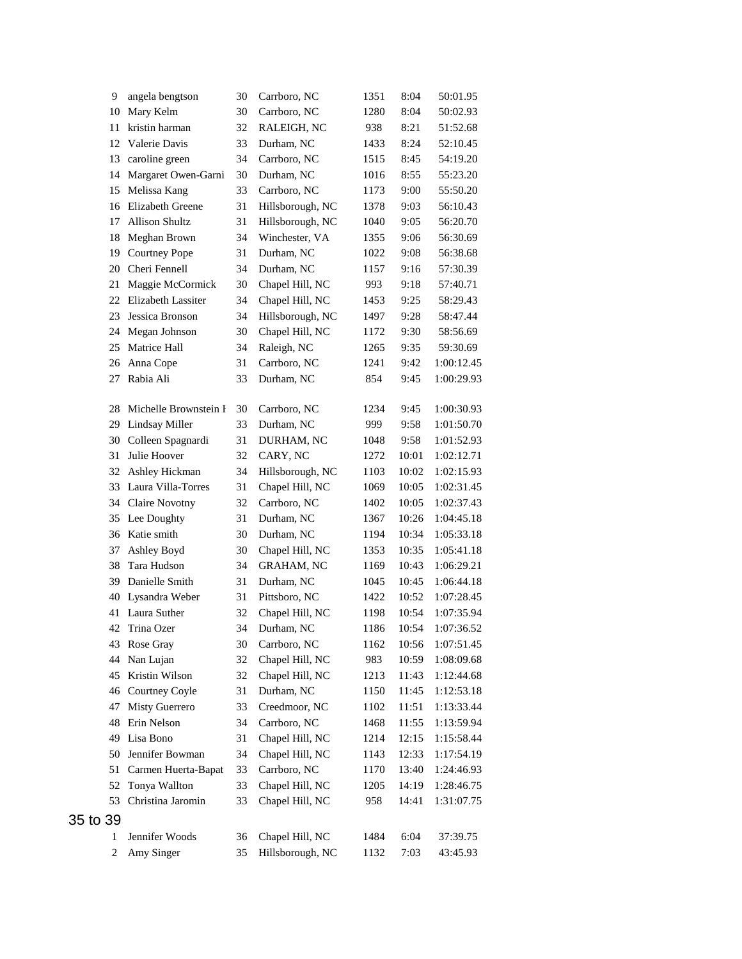| 9        | angela bengtson       | 30 | Carrboro, NC      | 1351 | 8:04  | 50:01.95   |
|----------|-----------------------|----|-------------------|------|-------|------------|
| 10       | Mary Kelm             | 30 | Carrboro, NC      | 1280 | 8:04  | 50:02.93   |
| 11       | kristin harman        | 32 | RALEIGH, NC       | 938  | 8:21  | 51:52.68   |
| 12       | Valerie Davis         | 33 | Durham, NC        | 1433 | 8:24  | 52:10.45   |
| 13       | caroline green        | 34 | Carrboro, NC      | 1515 | 8:45  | 54:19.20   |
| 14       | Margaret Owen-Garni   | 30 | Durham, NC        | 1016 | 8:55  | 55:23.20   |
| 15       | Melissa Kang          | 33 | Carrboro, NC      | 1173 | 9:00  | 55:50.20   |
| 16       | Elizabeth Greene      | 31 | Hillsborough, NC  | 1378 | 9:03  | 56:10.43   |
| 17       | <b>Allison Shultz</b> | 31 | Hillsborough, NC  | 1040 | 9:05  | 56:20.70   |
| 18       | Meghan Brown          | 34 | Winchester, VA    | 1355 | 9:06  | 56:30.69   |
| 19       | <b>Courtney Pope</b>  | 31 | Durham, NC        | 1022 | 9:08  | 56:38.68   |
| 20       | Cheri Fennell         | 34 | Durham, NC        | 1157 | 9:16  | 57:30.39   |
| 21       | Maggie McCormick      | 30 | Chapel Hill, NC   | 993  | 9:18  | 57:40.71   |
| 22       | Elizabeth Lassiter    | 34 | Chapel Hill, NC   | 1453 | 9:25  | 58:29.43   |
| 23       | Jessica Bronson       | 34 | Hillsborough, NC  | 1497 | 9:28  | 58:47.44   |
| 24       | Megan Johnson         | 30 | Chapel Hill, NC   | 1172 | 9:30  | 58:56.69   |
| 25       | Matrice Hall          | 34 | Raleigh, NC       | 1265 | 9:35  | 59:30.69   |
| 26       | Anna Cope             | 31 | Carrboro, NC      | 1241 | 9:42  | 1:00:12.45 |
| 27       | Rabia Ali             | 33 | Durham, NC        | 854  | 9:45  | 1:00:29.93 |
|          |                       |    |                   |      |       |            |
| 28       | Michelle Brownstein I | 30 | Carrboro, NC      | 1234 | 9:45  | 1:00:30.93 |
| 29       | Lindsay Miller        | 33 | Durham, NC        | 999  | 9:58  | 1:01:50.70 |
| 30       | Colleen Spagnardi     | 31 | DURHAM, NC        | 1048 | 9:58  | 1:01:52.93 |
| 31       | Julie Hoover          | 32 | CARY, NC          | 1272 | 10:01 | 1:02:12.71 |
| 32       | Ashley Hickman        | 34 | Hillsborough, NC  | 1103 | 10:02 | 1:02:15.93 |
| 33       | Laura Villa-Torres    | 31 | Chapel Hill, NC   | 1069 | 10:05 | 1:02:31.45 |
|          | 34 Claire Novotny     | 32 | Carrboro, NC      | 1402 | 10:05 | 1:02:37.43 |
|          | 35 Lee Doughty        | 31 | Durham, NC        | 1367 | 10:26 | 1:04:45.18 |
| 36       | Katie smith           | 30 | Durham, NC        | 1194 | 10:34 | 1:05:33.18 |
| 37       | Ashley Boyd           | 30 | Chapel Hill, NC   | 1353 | 10:35 | 1:05:41.18 |
| 38       | Tara Hudson           | 34 | <b>GRAHAM, NC</b> | 1169 | 10:43 | 1:06:29.21 |
| 39       | Danielle Smith        | 31 | Durham, NC        | 1045 | 10:45 | 1:06:44.18 |
| 40       | Lysandra Weber        | 31 | Pittsboro, NC     | 1422 | 10:52 | 1:07:28.45 |
| 41       | Laura Suther          | 32 | Chapel Hill, NC   | 1198 | 10:54 | 1:07:35.94 |
| 42       | Trina Ozer            | 34 | Durham, NC        | 1186 | 10:54 | 1:07:36.52 |
| 43       | Rose Gray             | 30 | Carrboro, NC      | 1162 | 10:56 | 1:07:51.45 |
| 44       | Nan Lujan             | 32 | Chapel Hill, NC   | 983  | 10:59 | 1:08:09.68 |
| 45       | Kristin Wilson        | 32 | Chapel Hill, NC   | 1213 | 11:43 | 1:12:44.68 |
|          | 46 Courtney Coyle     | 31 | Durham, NC        | 1150 | 11:45 | 1:12:53.18 |
| 47       | Misty Guerrero        | 33 | Creedmoor, NC     | 1102 | 11:51 | 1:13:33.44 |
| 48       | Erin Nelson           | 34 | Carrboro, NC      | 1468 | 11:55 | 1:13:59.94 |
| 49       | Lisa Bono             | 31 | Chapel Hill, NC   | 1214 | 12:15 | 1:15:58.44 |
| 50       | Jennifer Bowman       | 34 | Chapel Hill, NC   | 1143 | 12:33 | 1:17:54.19 |
| 51       | Carmen Huerta-Bapat   | 33 | Carrboro, NC      | 1170 | 13:40 | 1:24:46.93 |
| 52       | Tonya Wallton         | 33 | Chapel Hill, NC   | 1205 | 14:19 | 1:28:46.75 |
| 53       | Christina Jaromin     | 33 | Chapel Hill, NC   | 958  | 14:41 | 1:31:07.75 |
| 35 to 39 |                       |    |                   |      |       |            |
| 1        | Jennifer Woods        | 36 | Chapel Hill, NC   | 1484 | 6:04  | 37:39.75   |
| 2        | Amy Singer            | 35 | Hillsborough, NC  | 1132 | 7:03  | 43:45.93   |
|          |                       |    |                   |      |       |            |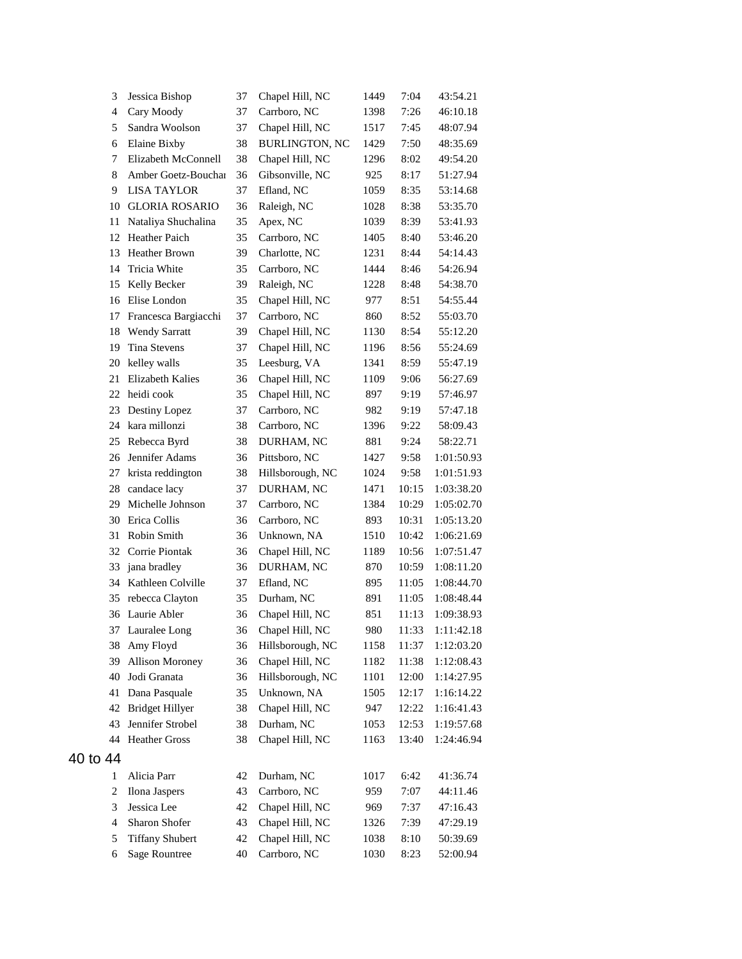| 3                       | Jessica Bishop         | 37 | Chapel Hill, NC       | 1449 | 7:04  | 43:54.21   |
|-------------------------|------------------------|----|-----------------------|------|-------|------------|
| 4                       | Cary Moody             | 37 | Carrboro, NC          | 1398 | 7:26  | 46:10.18   |
| 5                       | Sandra Woolson         | 37 | Chapel Hill, NC       | 1517 | 7:45  | 48:07.94   |
| 6                       | Elaine Bixby           | 38 | <b>BURLINGTON, NC</b> | 1429 | 7:50  | 48:35.69   |
| 7                       | Elizabeth McConnell    | 38 | Chapel Hill, NC       | 1296 | 8:02  | 49:54.20   |
| 8                       | Amber Goetz-Bouchai    | 36 | Gibsonville, NC       | 925  | 8:17  | 51:27.94   |
| 9                       | <b>LISA TAYLOR</b>     | 37 | Efland, NC            | 1059 | 8:35  | 53:14.68   |
| 10                      | <b>GLORIA ROSARIO</b>  | 36 | Raleigh, NC           | 1028 | 8:38  | 53:35.70   |
| 11                      | Nataliya Shuchalina    | 35 | Apex, NC              | 1039 | 8:39  | 53:41.93   |
| 12                      | Heather Paich          | 35 | Carrboro, NC          | 1405 | 8:40  | 53:46.20   |
| 13                      | <b>Heather Brown</b>   | 39 | Charlotte, NC         | 1231 | 8:44  | 54:14.43   |
| 14                      | Tricia White           | 35 | Carrboro, NC          | 1444 | 8:46  | 54:26.94   |
| 15                      | Kelly Becker           | 39 | Raleigh, NC           | 1228 | 8:48  | 54:38.70   |
| 16                      | Elise London           | 35 | Chapel Hill, NC       | 977  | 8:51  | 54:55.44   |
| 17                      | Francesca Bargiacchi   | 37 | Carrboro, NC          | 860  | 8:52  | 55:03.70   |
| 18                      | <b>Wendy Sarratt</b>   | 39 | Chapel Hill, NC       | 1130 | 8:54  | 55:12.20   |
| 19                      | <b>Tina Stevens</b>    | 37 | Chapel Hill, NC       | 1196 | 8:56  | 55:24.69   |
| 20                      | kelley walls           | 35 | Leesburg, VA          | 1341 | 8:59  | 55:47.19   |
| 21                      | Elizabeth Kalies       | 36 | Chapel Hill, NC       | 1109 | 9:06  | 56:27.69   |
| 22                      | heidi cook             | 35 | Chapel Hill, NC       | 897  | 9:19  | 57:46.97   |
| 23                      | Destiny Lopez          | 37 | Carrboro, NC          | 982  | 9:19  | 57:47.18   |
| 24                      | kara millonzi          | 38 | Carrboro, NC          | 1396 | 9:22  | 58:09.43   |
| 25                      | Rebecca Byrd           | 38 | DURHAM, NC            | 881  | 9:24  | 58:22.71   |
| 26                      | Jennifer Adams         | 36 | Pittsboro, NC         | 1427 | 9:58  | 1:01:50.93 |
| 27                      | krista reddington      | 38 | Hillsborough, NC      | 1024 | 9:58  | 1:01:51.93 |
| 28                      | candace lacy           | 37 | DURHAM, NC            | 1471 | 10:15 | 1:03:38.20 |
| 29                      | Michelle Johnson       | 37 | Carrboro, NC          | 1384 | 10:29 | 1:05:02.70 |
| 30                      | Erica Collis           | 36 | Carrboro, NC          | 893  | 10:31 | 1:05:13.20 |
| 31                      | Robin Smith            | 36 | Unknown, NA           | 1510 | 10:42 | 1:06:21.69 |
| 32                      | Corrie Piontak         | 36 | Chapel Hill, NC       | 1189 | 10:56 | 1:07:51.47 |
| 33                      | jana bradley           | 36 | DURHAM, NC            | 870  | 10:59 | 1:08:11.20 |
| 34                      | Kathleen Colville      | 37 | Efland, NC            | 895  | 11:05 | 1:08:44.70 |
| 35                      | rebecca Clayton        | 35 | Durham, NC            | 891  | 11:05 | 1:08:48.44 |
| 36                      | Laurie Abler           | 36 | Chapel Hill, NC       | 851  | 11:13 | 1:09:38.93 |
|                         | 37 Lauralee Long       | 36 | Chapel Hill, NC       | 980  | 11:33 | 1:11:42.18 |
| 38                      | Amy Floyd              | 36 | Hillsborough, NC      | 1158 | 11:37 | 1:12:03.20 |
| 39                      | <b>Allison Moroney</b> | 36 | Chapel Hill, NC       | 1182 | 11:38 | 1:12:08.43 |
| 40                      | Jodi Granata           | 36 | Hillsborough, NC      | 1101 | 12:00 | 1:14:27.95 |
| 41                      | Dana Pasquale          | 35 | Unknown, NA           | 1505 | 12:17 | 1:16:14.22 |
| 42                      | <b>Bridget Hillyer</b> | 38 | Chapel Hill, NC       | 947  | 12:22 | 1:16:41.43 |
| 43                      | Jennifer Strobel       | 38 | Durham, NC            | 1053 | 12:53 | 1:19:57.68 |
| 44                      | <b>Heather Gross</b>   | 38 | Chapel Hill, NC       | 1163 | 13:40 | 1:24:46.94 |
| 40 to 44                |                        |    |                       |      |       |            |
| 1                       | Alicia Parr            | 42 | Durham, NC            | 1017 | 6:42  | 41:36.74   |
| $\overline{\mathbf{c}}$ | Ilona Jaspers          | 43 | Carrboro, NC          | 959  | 7:07  | 44:11.46   |
| 3                       | Jessica Lee            | 42 | Chapel Hill, NC       | 969  | 7:37  | 47:16.43   |
| 4                       | Sharon Shofer          | 43 | Chapel Hill, NC       | 1326 | 7:39  | 47:29.19   |
| 5                       | <b>Tiffany Shubert</b> | 42 | Chapel Hill, NC       | 1038 | 8:10  | 50:39.69   |
| 6                       | <b>Sage Rountree</b>   | 40 | Carrboro, NC          | 1030 | 8:23  | 52:00.94   |
|                         |                        |    |                       |      |       |            |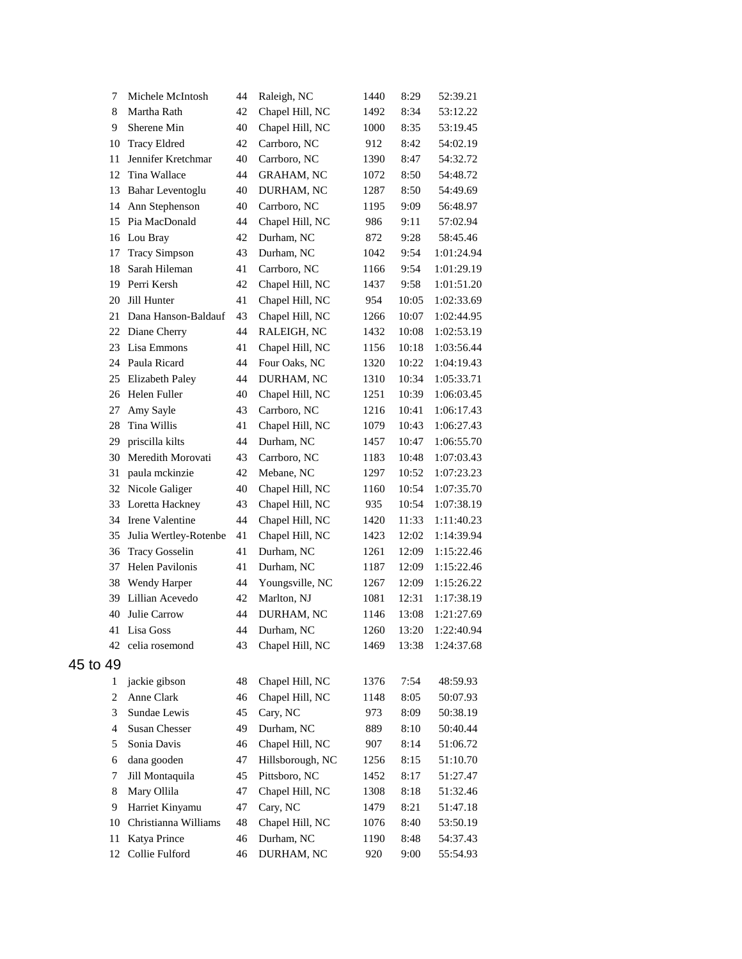| 7        | Michele McIntosh      | 44 | Raleigh, NC       | 1440 | 8:29  | 52:39.21   |
|----------|-----------------------|----|-------------------|------|-------|------------|
| 8        | Martha Rath           | 42 | Chapel Hill, NC   | 1492 | 8:34  | 53:12.22   |
| 9        | Sherene Min           | 40 | Chapel Hill, NC   | 1000 | 8:35  | 53:19.45   |
| 10       | <b>Tracy Eldred</b>   | 42 | Carrboro, NC      | 912  | 8:42  | 54:02.19   |
| 11       | Jennifer Kretchmar    | 40 | Carrboro, NC      | 1390 | 8:47  | 54:32.72   |
| 12       | Tina Wallace          | 44 | <b>GRAHAM, NC</b> | 1072 | 8:50  | 54:48.72   |
| 13       | Bahar Leventoglu      | 40 | DURHAM, NC        | 1287 | 8:50  | 54:49.69   |
| 14       | Ann Stephenson        | 40 | Carrboro, NC      | 1195 | 9:09  | 56:48.97   |
| 15       | Pia MacDonald         | 44 | Chapel Hill, NC   | 986  | 9:11  | 57:02.94   |
| 16       | Lou Bray              | 42 | Durham, NC        | 872  | 9:28  | 58:45.46   |
| 17       | <b>Tracy Simpson</b>  | 43 | Durham, NC        | 1042 | 9:54  | 1:01:24.94 |
| 18       | Sarah Hileman         | 41 | Carrboro, NC      | 1166 | 9:54  | 1:01:29.19 |
| 19       | Perri Kersh           | 42 | Chapel Hill, NC   | 1437 | 9:58  | 1:01:51.20 |
| 20       | Jill Hunter           | 41 | Chapel Hill, NC   | 954  | 10:05 | 1:02:33.69 |
| 21       | Dana Hanson-Baldauf   | 43 | Chapel Hill, NC   | 1266 | 10:07 | 1:02:44.95 |
| 22       | Diane Cherry          | 44 | RALEIGH, NC       | 1432 | 10:08 | 1:02:53.19 |
| 23       | Lisa Emmons           | 41 | Chapel Hill, NC   | 1156 | 10:18 | 1:03:56.44 |
| 24       | Paula Ricard          | 44 | Four Oaks, NC     | 1320 | 10:22 | 1:04:19.43 |
| 25       | Elizabeth Paley       | 44 | DURHAM, NC        | 1310 | 10:34 | 1:05:33.71 |
| 26       | Helen Fuller          | 40 | Chapel Hill, NC   | 1251 | 10:39 | 1:06:03.45 |
| 27       | Amy Sayle             | 43 | Carrboro, NC      | 1216 | 10:41 | 1:06:17.43 |
| 28       | Tina Willis           | 41 | Chapel Hill, NC   | 1079 | 10:43 | 1:06:27.43 |
| 29       | priscilla kilts       | 44 | Durham, NC        | 1457 | 10:47 | 1:06:55.70 |
| 30       | Meredith Morovati     | 43 | Carrboro, NC      | 1183 | 10:48 | 1:07:03.43 |
| 31       | paula mckinzie        | 42 | Mebane, NC        | 1297 | 10:52 | 1:07:23.23 |
| 32       | Nicole Galiger        | 40 | Chapel Hill, NC   | 1160 | 10:54 | 1:07:35.70 |
| 33       | Loretta Hackney       | 43 | Chapel Hill, NC   | 935  | 10:54 | 1:07:38.19 |
| 34       | Irene Valentine       | 44 | Chapel Hill, NC   | 1420 | 11:33 | 1:11:40.23 |
| 35       | Julia Wertley-Rotenbe | 41 | Chapel Hill, NC   | 1423 | 12:02 | 1:14:39.94 |
| 36       | <b>Tracy Gosselin</b> | 41 | Durham, NC        | 1261 | 12:09 | 1:15:22.46 |
| 37       | Helen Pavilonis       | 41 | Durham, NC        | 1187 | 12:09 | 1:15:22.46 |
| 38       | Wendy Harper          | 44 | Youngsville, NC   | 1267 | 12:09 | 1:15:26.22 |
| 39       | Lillian Acevedo       | 42 | Marlton, NJ       | 1081 | 12:31 | 1:17:38.19 |
| 40       | Julie Carrow          | 44 | DURHAM, NC        | 1146 | 13:08 | 1:21:27.69 |
| 41       | Lisa Goss             | 44 | Durham, NC        | 1260 | 13:20 | 1:22:40.94 |
| 42       | celia rosemond        | 43 | Chapel Hill, NC   | 1469 | 13:38 | 1:24:37.68 |
| 45 to 49 |                       |    |                   |      |       |            |
| 1        | jackie gibson         | 48 | Chapel Hill, NC   | 1376 | 7:54  | 48:59.93   |
| 2        | Anne Clark            | 46 | Chapel Hill, NC   | 1148 | 8:05  | 50:07.93   |
| 3        | Sundae Lewis          | 45 | Cary, NC          | 973  | 8:09  | 50:38.19   |
| 4        | <b>Susan Chesser</b>  | 49 | Durham, NC        | 889  | 8:10  | 50:40.44   |
| 5        | Sonia Davis           | 46 | Chapel Hill, NC   | 907  | 8:14  | 51:06.72   |
| 6        | dana gooden           | 47 | Hillsborough, NC  | 1256 | 8:15  | 51:10.70   |
| 7        | Jill Montaquila       | 45 | Pittsboro, NC     | 1452 | 8:17  | 51:27.47   |
| 8        | Mary Ollila           | 47 | Chapel Hill, NC   | 1308 | 8:18  | 51:32.46   |
| 9        | Harriet Kinyamu       | 47 | Cary, NC          | 1479 | 8:21  | 51:47.18   |
| 10       | Christianna Williams  | 48 | Chapel Hill, NC   | 1076 | 8:40  | 53:50.19   |
| 11       | Katya Prince          | 46 | Durham, NC        | 1190 | 8:48  | 54:37.43   |
| 12       | Collie Fulford        | 46 | DURHAM, NC        | 920  | 9:00  | 55:54.93   |
|          |                       |    |                   |      |       |            |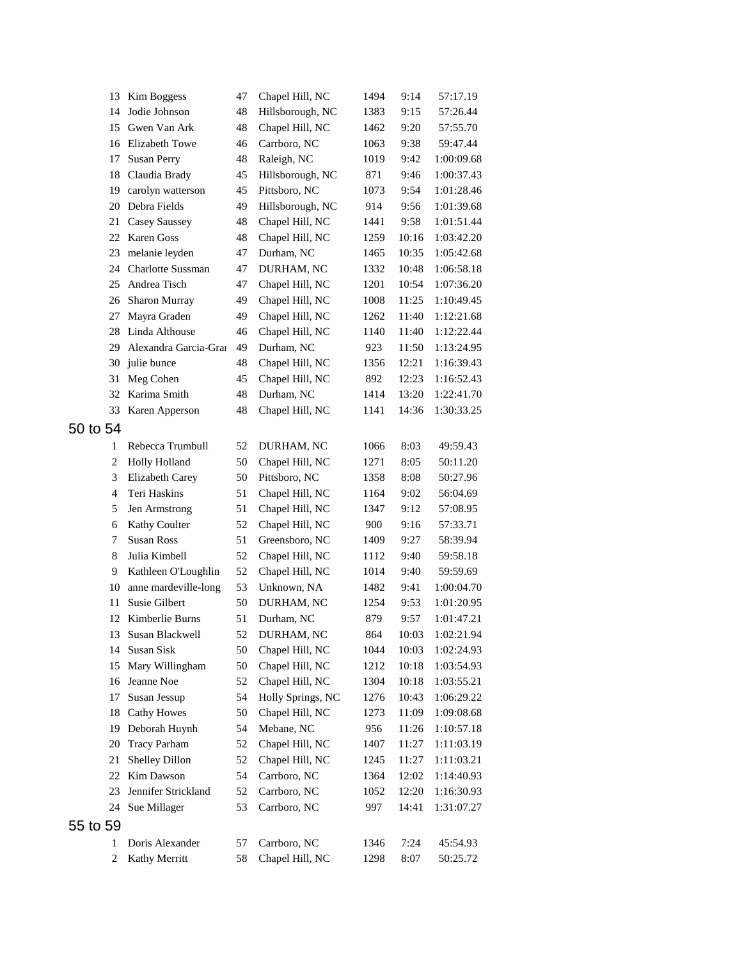| 13             | Kim Boggess              | 47 | Chapel Hill, NC   | 1494 | 9:14  | 57:17.19   |
|----------------|--------------------------|----|-------------------|------|-------|------------|
| 14             | Jodie Johnson            | 48 | Hillsborough, NC  | 1383 | 9:15  | 57:26.44   |
| 15             | Gwen Van Ark             | 48 | Chapel Hill, NC   | 1462 | 9:20  | 57:55.70   |
| 16             | Elizabeth Towe           | 46 | Carrboro, NC      | 1063 | 9:38  | 59:47.44   |
| 17             | <b>Susan Perry</b>       | 48 | Raleigh, NC       | 1019 | 9:42  | 1:00:09.68 |
| 18             | Claudia Brady            | 45 | Hillsborough, NC  | 871  | 9:46  | 1:00:37.43 |
| 19             | carolyn watterson        | 45 | Pittsboro, NC     | 1073 | 9:54  | 1:01:28.46 |
| 20             | Debra Fields             | 49 | Hillsborough, NC  | 914  | 9:56  | 1:01:39.68 |
| 21             | Casey Saussey            | 48 | Chapel Hill, NC   | 1441 | 9:58  | 1:01:51.44 |
| 22             | Karen Goss               | 48 | Chapel Hill, NC   | 1259 | 10:16 | 1:03:42.20 |
| 23             | melanie leyden           | 47 | Durham, NC        | 1465 | 10:35 | 1:05:42.68 |
| 24             | <b>Charlotte Sussman</b> | 47 | DURHAM, NC        | 1332 | 10:48 | 1:06:58.18 |
| 25             | Andrea Tisch             | 47 | Chapel Hill, NC   | 1201 | 10:54 | 1:07:36.20 |
| 26             | Sharon Murray            | 49 | Chapel Hill, NC   | 1008 | 11:25 | 1:10:49.45 |
| 27             | Mayra Graden             | 49 | Chapel Hill, NC   | 1262 | 11:40 | 1:12:21.68 |
| 28             | Linda Althouse           | 46 | Chapel Hill, NC   | 1140 | 11:40 | 1:12:22.44 |
| 29             | Alexandra Garcia-Gra     | 49 | Durham, NC        | 923  | 11:50 | 1:13:24.95 |
| 30             | julie bunce              | 48 | Chapel Hill, NC   | 1356 | 12:21 | 1:16:39.43 |
| 31             | Meg Cohen                | 45 | Chapel Hill, NC   | 892  | 12:23 | 1:16:52.43 |
| 32             | Karima Smith             | 48 | Durham, NC        | 1414 | 13:20 | 1:22:41.70 |
| 33             | Karen Apperson           | 48 | Chapel Hill, NC   | 1141 | 14:36 | 1:30:33.25 |
| 50 to 54       |                          |    |                   |      |       |            |
| 1              | Rebecca Trumbull         | 52 | DURHAM, NC        | 1066 | 8:03  | 49:59.43   |
| $\overline{c}$ | <b>Holly Holland</b>     | 50 | Chapel Hill, NC   | 1271 | 8:05  | 50:11.20   |
| 3              | Elizabeth Carey          | 50 | Pittsboro, NC     | 1358 | 8:08  | 50:27.96   |
| 4              | Teri Haskins             | 51 | Chapel Hill, NC   | 1164 | 9:02  | 56:04.69   |
| 5              | Jen Armstrong            | 51 | Chapel Hill, NC   | 1347 | 9:12  | 57:08.95   |
| 6              | Kathy Coulter            | 52 | Chapel Hill, NC   | 900  | 9:16  | 57:33.71   |
| 7              | <b>Susan Ross</b>        | 51 | Greensboro, NC    | 1409 | 9:27  | 58:39.94   |
| 8              | Julia Kimbell            | 52 | Chapel Hill, NC   | 1112 | 9:40  | 59:58.18   |
| 9              | Kathleen O'Loughlin      | 52 | Chapel Hill, NC   | 1014 | 9:40  | 59:59.69   |
| 10             | anne mardeville-long     | 53 | Unknown, NA       | 1482 | 9:41  | 1:00:04.70 |
| 11             | Susie Gilbert            | 50 | DURHAM, NC        | 1254 | 9:53  | 1:01:20.95 |
| 12             | Kimberlie Burns          | 51 | Durham, NC        | 879  | 9:57  | 1:01:47.21 |
| 13             | Susan Blackwell          | 52 | DURHAM, NC        | 864  | 10:03 | 1:02:21.94 |
| 14             | Susan Sisk               | 50 | Chapel Hill, NC   | 1044 | 10:03 | 1:02:24.93 |
| 15             | Mary Willingham          | 50 | Chapel Hill, NC   | 1212 | 10:18 | 1:03:54.93 |
| 16             | Jeanne Noe               | 52 | Chapel Hill, NC   | 1304 | 10:18 | 1:03:55.21 |
| 17             | Susan Jessup             | 54 | Holly Springs, NC | 1276 | 10:43 | 1:06:29.22 |
| 18             | <b>Cathy Howes</b>       | 50 | Chapel Hill, NC   | 1273 | 11:09 | 1:09:08.68 |
| 19             | Deborah Huynh            | 54 | Mebane, NC        | 956  | 11:26 | 1:10:57.18 |
| 20             | <b>Tracy Parham</b>      | 52 | Chapel Hill, NC   | 1407 | 11:27 | 1:11:03.19 |
| 21             | Shelley Dillon           | 52 | Chapel Hill, NC   | 1245 | 11:27 | 1:11:03.21 |
| 22             | Kim Dawson               | 54 | Carrboro, NC      | 1364 | 12:02 | 1:14:40.93 |
| 23             | Jennifer Strickland      | 52 | Carrboro, NC      | 1052 | 12:20 | 1:16:30.93 |
| 24             | Sue Millager             | 53 | Carrboro, NC      | 997  | 14:41 | 1:31:07.27 |
| 55 to 59       |                          |    |                   |      |       |            |
| 1              | Doris Alexander          | 57 | Carrboro, NC      | 1346 | 7:24  | 45:54.93   |
| $\overline{c}$ | Kathy Merritt            | 58 | Chapel Hill, NC   | 1298 | 8:07  | 50:25.72   |
|                |                          |    |                   |      |       |            |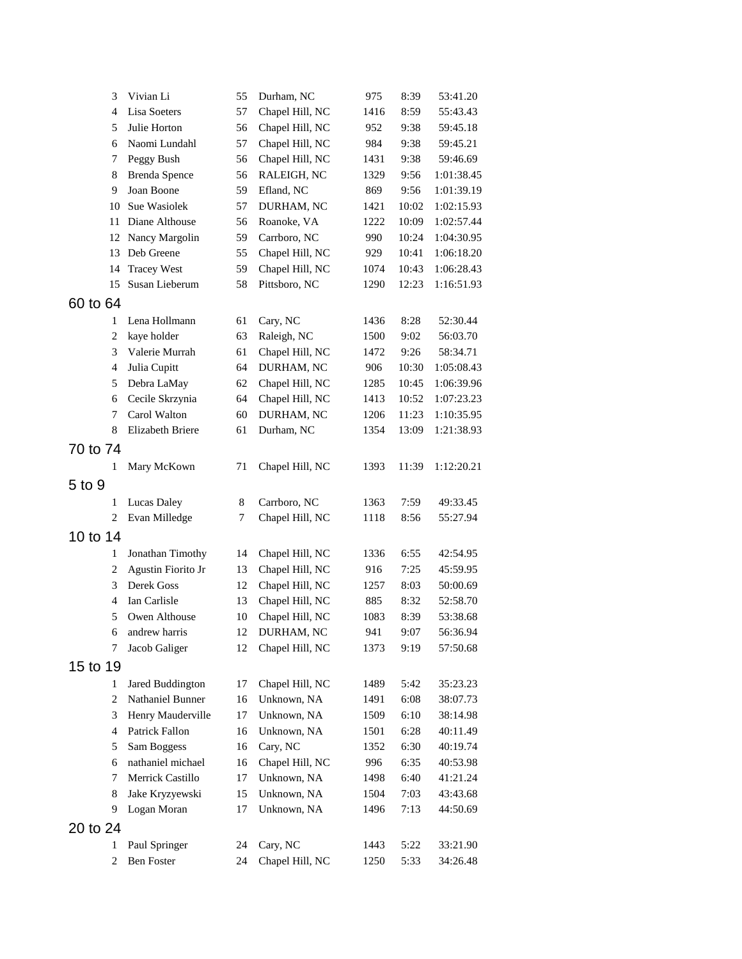| 3              | Vivian Li            | 55 | Durham, NC      | 975  | 8:39  | 53:41.20   |
|----------------|----------------------|----|-----------------|------|-------|------------|
| $\overline{4}$ | Lisa Soeters         | 57 | Chapel Hill, NC | 1416 | 8:59  | 55:43.43   |
| 5              | Julie Horton         | 56 | Chapel Hill, NC | 952  | 9:38  | 59:45.18   |
| 6              | Naomi Lundahl        | 57 | Chapel Hill, NC | 984  | 9:38  | 59:45.21   |
| 7              | Peggy Bush           | 56 | Chapel Hill, NC | 1431 | 9:38  | 59:46.69   |
| 8              | <b>Brenda Spence</b> | 56 | RALEIGH, NC     | 1329 | 9:56  | 1:01:38.45 |
| 9              | Joan Boone           | 59 | Efland, NC      | 869  | 9:56  | 1:01:39.19 |
| 10             | Sue Wasiolek         | 57 | DURHAM, NC      | 1421 | 10:02 | 1:02:15.93 |
| 11             | Diane Althouse       | 56 | Roanoke, VA     | 1222 | 10:09 | 1:02:57.44 |
| 12             | Nancy Margolin       | 59 | Carrboro, NC    | 990  | 10:24 | 1:04:30.95 |
| 13             | Deb Greene           | 55 | Chapel Hill, NC | 929  | 10:41 | 1:06:18.20 |
| 14             | <b>Tracey West</b>   | 59 | Chapel Hill, NC | 1074 | 10:43 | 1:06:28.43 |
| 15             | Susan Lieberum       | 58 | Pittsboro, NC   | 1290 | 12:23 | 1:16:51.93 |
| 60 to 64       |                      |    |                 |      |       |            |
| 1              | Lena Hollmann        | 61 | Cary, NC        | 1436 | 8:28  | 52:30.44   |
| $\mathbf{2}$   | kaye holder          | 63 | Raleigh, NC     | 1500 | 9:02  | 56:03.70   |
| 3              | Valerie Murrah       | 61 | Chapel Hill, NC | 1472 | 9:26  | 58:34.71   |
| $\overline{4}$ | Julia Cupitt         | 64 | DURHAM, NC      | 906  | 10:30 | 1:05:08.43 |
| 5              | Debra LaMay          | 62 | Chapel Hill, NC | 1285 | 10:45 | 1:06:39.96 |
| 6              | Cecile Skrzynia      | 64 | Chapel Hill, NC | 1413 | 10:52 | 1:07:23.23 |
| 7              | Carol Walton         | 60 | DURHAM, NC      | 1206 | 11:23 | 1:10:35.95 |
| 8              | Elizabeth Briere     | 61 | Durham, NC      | 1354 | 13:09 | 1:21:38.93 |
| 70 to 74       |                      |    |                 |      |       |            |
| 1              | Mary McKown          | 71 | Chapel Hill, NC | 1393 | 11:39 | 1:12:20.21 |
|                |                      |    |                 |      |       |            |
| 5 to 9         |                      |    |                 |      |       |            |
| 1              | Lucas Daley          | 8  | Carrboro, NC    | 1363 | 7:59  | 49:33.45   |
| $\overline{c}$ | Evan Milledge        | 7  | Chapel Hill, NC | 1118 | 8:56  | 55:27.94   |
| 10 to 14       |                      |    |                 |      |       |            |
| 1              | Jonathan Timothy     | 14 | Chapel Hill, NC | 1336 | 6:55  | 42:54.95   |
| $\overline{c}$ | Agustin Fiorito Jr   | 13 | Chapel Hill, NC | 916  | 7:25  | 45:59.95   |
| 3              | Derek Goss           | 12 | Chapel Hill, NC | 1257 | 8:03  | 50:00.69   |
| $\overline{4}$ | Ian Carlisle         | 13 | Chapel Hill, NC | 885  | 8:32  | 52:58.70   |
| 5              | Owen Althouse        | 10 | Chapel Hill, NC | 1083 | 8:39  | 53:38.68   |
| 6              | andrew harris        | 12 | DURHAM, NC      | 941  | 9:07  | 56:36.94   |
| 7              | Jacob Galiger        | 12 | Chapel Hill, NC | 1373 | 9:19  | 57:50.68   |
| 15 to 19       |                      |    |                 |      |       |            |
| 1              | Jared Buddington     | 17 | Chapel Hill, NC | 1489 | 5:42  | 35:23.23   |
| 2              | Nathaniel Bunner     | 16 | Unknown, NA     | 1491 | 6:08  | 38:07.73   |
| 3              | Henry Mauderville    | 17 | Unknown, NA     | 1509 | 6:10  | 38:14.98   |
| $\overline{4}$ | Patrick Fallon       | 16 | Unknown, NA     | 1501 | 6:28  | 40:11.49   |
| 5              | Sam Boggess          | 16 | Cary, NC        | 1352 | 6:30  | 40:19.74   |
| 6              | nathaniel michael    | 16 | Chapel Hill, NC | 996  | 6:35  | 40:53.98   |
| 7              | Merrick Castillo     | 17 | Unknown, NA     | 1498 | 6:40  | 41:21.24   |
| 8              | Jake Kryzyewski      | 15 | Unknown, NA     | 1504 | 7:03  | 43:43.68   |
| 9              | Logan Moran          | 17 | Unknown, NA     | 1496 | 7:13  | 44:50.69   |
| 20 to 24       |                      |    |                 |      |       |            |
|                |                      |    |                 |      |       |            |
| 1              | Paul Springer        | 24 | Cary, NC        | 1443 | 5:22  | 33:21.90   |
| $\overline{c}$ | Ben Foster           | 24 | Chapel Hill, NC | 1250 | 5:33  | 34:26.48   |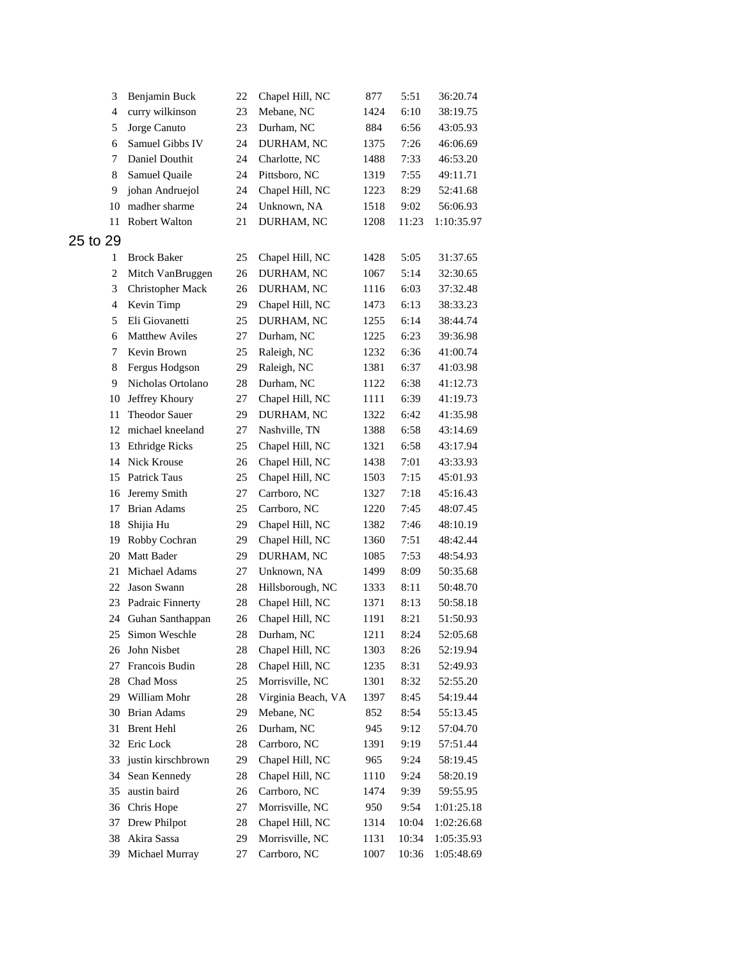| 3                       | Benjamin Buck         | 22 | Chapel Hill, NC    | 877  | 5:51  | 36:20.74   |
|-------------------------|-----------------------|----|--------------------|------|-------|------------|
| 4                       | curry wilkinson       | 23 | Mebane, NC         | 1424 | 6:10  | 38:19.75   |
| 5                       | Jorge Canuto          | 23 | Durham, NC         | 884  | 6:56  | 43:05.93   |
| 6                       | Samuel Gibbs IV       | 24 | DURHAM, NC         | 1375 | 7:26  | 46:06.69   |
| 7                       | Daniel Douthit        | 24 | Charlotte, NC      | 1488 | 7:33  | 46:53.20   |
| 8                       | Samuel Quaile         | 24 | Pittsboro, NC      | 1319 | 7:55  | 49:11.71   |
| 9                       | johan Andruejol       | 24 | Chapel Hill, NC    | 1223 | 8:29  | 52:41.68   |
| 10                      | madher sharme         | 24 | Unknown, NA        | 1518 | 9:02  | 56:06.93   |
| 11                      | <b>Robert Walton</b>  | 21 | DURHAM, NC         | 1208 | 11:23 | 1:10:35.97 |
| 25 to 29                |                       |    |                    |      |       |            |
| 1                       | <b>Brock Baker</b>    | 25 | Chapel Hill, NC    | 1428 | 5:05  | 31:37.65   |
| $\overline{\mathbf{c}}$ | Mitch VanBruggen      | 26 | DURHAM, NC         | 1067 | 5:14  | 32:30.65   |
| 3                       | Christopher Mack      | 26 | DURHAM, NC         | 1116 | 6:03  | 37:32.48   |
| $\overline{4}$          | Kevin Timp            | 29 | Chapel Hill, NC    | 1473 | 6:13  | 38:33.23   |
| 5                       | Eli Giovanetti        | 25 | DURHAM, NC         | 1255 | 6:14  | 38:44.74   |
| 6                       | <b>Matthew Aviles</b> | 27 | Durham, NC         | 1225 | 6:23  | 39:36.98   |
| 7                       | Kevin Brown           | 25 | Raleigh, NC        | 1232 | 6:36  | 41:00.74   |
| 8                       | Fergus Hodgson        | 29 | Raleigh, NC        | 1381 | 6:37  | 41:03.98   |
| 9                       | Nicholas Ortolano     | 28 | Durham, NC         | 1122 | 6:38  | 41:12.73   |
| 10                      | Jeffrey Khoury        | 27 | Chapel Hill, NC    | 1111 | 6:39  | 41:19.73   |
| 11                      | Theodor Sauer         | 29 | DURHAM, NC         | 1322 | 6:42  | 41:35.98   |
| 12                      | michael kneeland      | 27 | Nashville, TN      | 1388 | 6:58  | 43:14.69   |
| 13                      | <b>Ethridge Ricks</b> | 25 | Chapel Hill, NC    | 1321 | 6:58  | 43:17.94   |
| 14                      | Nick Krouse           | 26 | Chapel Hill, NC    | 1438 | 7:01  | 43:33.93   |
| 15                      | Patrick Taus          | 25 | Chapel Hill, NC    | 1503 | 7:15  | 45:01.93   |
| 16                      | Jeremy Smith          | 27 | Carrboro, NC       | 1327 | 7:18  | 45:16.43   |
| 17                      | <b>Brian Adams</b>    | 25 | Carrboro, NC       | 1220 | 7:45  | 48:07.45   |
| 18                      | Shijia Hu             | 29 | Chapel Hill, NC    | 1382 | 7:46  | 48:10.19   |
| 19                      | Robby Cochran         | 29 | Chapel Hill, NC    | 1360 | 7:51  | 48:42.44   |
| 20                      | Matt Bader            | 29 | DURHAM, NC         | 1085 | 7:53  | 48:54.93   |
| 21                      | Michael Adams         | 27 | Unknown, NA        | 1499 | 8:09  | 50:35.68   |
| 22                      | Jason Swann           | 28 | Hillsborough, NC   | 1333 | 8:11  | 50:48.70   |
| 23                      | Padraic Finnerty      | 28 | Chapel Hill, NC    | 1371 | 8:13  | 50:58.18   |
|                         | 24 Guhan Santhappan   | 26 | Chapel Hill, NC    | 1191 | 8:21  | 51:50.93   |
| 25                      | Simon Weschle         | 28 | Durham, NC         | 1211 | 8:24  | 52:05.68   |
| 26                      | John Nisbet           | 28 | Chapel Hill, NC    | 1303 | 8:26  | 52:19.94   |
| 27                      | Francois Budin        | 28 | Chapel Hill, NC    | 1235 | 8:31  | 52:49.93   |
| 28                      | Chad Moss             | 25 | Morrisville, NC    | 1301 | 8:32  | 52:55.20   |
| 29                      | William Mohr          | 28 | Virginia Beach, VA | 1397 | 8:45  | 54:19.44   |
| 30                      | Brian Adams           | 29 | Mebane, NC         | 852  | 8:54  | 55:13.45   |
| 31                      | <b>Brent Hehl</b>     | 26 | Durham, NC         | 945  | 9:12  | 57:04.70   |
| 32                      | Eric Lock             | 28 | Carrboro, NC       | 1391 | 9:19  | 57:51.44   |
| 33                      | justin kirschbrown    | 29 | Chapel Hill, NC    | 965  | 9:24  | 58:19.45   |
| 34                      | Sean Kennedy          | 28 | Chapel Hill, NC    | 1110 | 9:24  | 58:20.19   |
| 35                      | austin baird          | 26 | Carrboro, NC       | 1474 | 9:39  | 59:55.95   |
| 36                      | Chris Hope            | 27 | Morrisville, NC    | 950  | 9:54  | 1:01:25.18 |
| 37                      | Drew Philpot          | 28 | Chapel Hill, NC    | 1314 | 10:04 | 1:02:26.68 |
| 38                      | Akira Sassa           | 29 | Morrisville, NC    | 1131 | 10:34 | 1:05:35.93 |
| 39                      | Michael Murray        | 27 | Carrboro, NC       | 1007 | 10:36 | 1:05:48.69 |
|                         |                       |    |                    |      |       |            |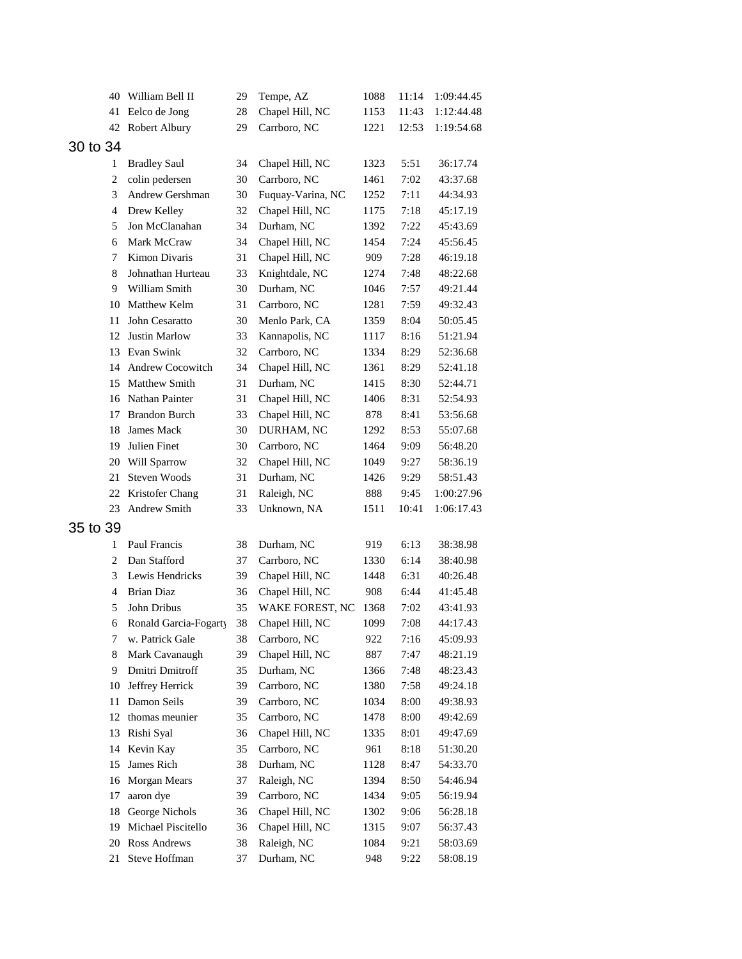| 40       | William Bell II                   | 29       | Tempe, AZ                       | 1088         | 11:14        | 1:09:44.45           |
|----------|-----------------------------------|----------|---------------------------------|--------------|--------------|----------------------|
| 41       | Eelco de Jong                     | 28       | Chapel Hill, NC                 | 1153         | 11:43        | 1:12:44.48           |
| 42       | Robert Albury                     | 29       | Carrboro, NC                    | 1221         | 12:53        | 1:19:54.68           |
| 30 to 34 |                                   |          |                                 |              |              |                      |
| 1        | <b>Bradley Saul</b>               | 34       | Chapel Hill, NC                 | 1323         | 5:51         | 36:17.74             |
| 2        | colin pedersen                    | 30       | Carrboro, NC                    | 1461         | 7:02         | 43:37.68             |
| 3        | Andrew Gershman                   | 30       | Fuquay-Varina, NC               | 1252         | 7:11         | 44:34.93             |
| 4        | Drew Kelley                       | 32       | Chapel Hill, NC                 | 1175         | 7:18         | 45:17.19             |
| 5        | Jon McClanahan                    | 34       | Durham, NC                      | 1392         | 7:22         | 45:43.69             |
| 6        | Mark McCraw                       | 34       | Chapel Hill, NC                 | 1454         | 7:24         | 45:56.45             |
| 7        | <b>Kimon Divaris</b>              | 31       | Chapel Hill, NC                 | 909          | 7:28         | 46:19.18             |
| 8        | Johnathan Hurteau                 | 33       | Knightdale, NC                  | 1274         | 7:48         | 48:22.68             |
| 9        | William Smith                     | 30       | Durham, NC                      | 1046         | 7:57         | 49:21.44             |
|          | 10 Matthew Kelm                   | 31       | Carrboro, NC                    | 1281         | 7:59         | 49:32.43             |
| 11       | John Cesaratto                    | 30       | Menlo Park, CA                  | 1359         | 8:04         | 50:05.45             |
| 12       | <b>Justin Marlow</b>              | 33       | Kannapolis, NC                  | 1117         | 8:16         | 51:21.94             |
| 13       | Evan Swink                        | 32       | Carrboro, NC                    | 1334         | 8:29         | 52:36.68             |
| 14       | Andrew Cocowitch                  | 34       | Chapel Hill, NC                 | 1361         | 8:29         | 52:41.18             |
| 15       | <b>Matthew Smith</b>              | 31       | Durham, NC                      | 1415         | 8:30         | 52:44.71             |
| 16       | Nathan Painter                    | 31       | Chapel Hill, NC                 | 1406         | 8:31         | 52:54.93             |
| 17       | <b>Brandon Burch</b>              | 33       | Chapel Hill, NC                 | 878          | 8:41         | 53:56.68             |
| 18       | James Mack                        | 30       | DURHAM, NC                      | 1292         | 8:53         | 55:07.68             |
| 19       | Julien Finet                      | 30       | Carrboro, NC                    | 1464         | 9:09         | 56:48.20             |
| 20       | Will Sparrow                      | 32       | Chapel Hill, NC                 | 1049         | 9:27         | 58:36.19             |
| 21       | Steven Woods                      | 31       | Durham, NC                      | 1426         | 9:29         | 58:51.43             |
| 22       | Kristofer Chang                   | 31       | Raleigh, NC                     | 888          | 9:45         | 1:00:27.96           |
| 23       | Andrew Smith                      | 33       | Unknown, NA                     | 1511         | 10:41        | 1:06:17.43           |
| 35 to 39 |                                   |          |                                 |              |              |                      |
|          |                                   |          |                                 |              |              |                      |
| 1        | Paul Francis                      | 38       | Durham, NC                      | 919          | 6:13         | 38:38.98             |
| 2        | Dan Stafford<br>Lewis Hendricks   | 37       | Carrboro, NC                    | 1330         | 6:14         | 38:40.98             |
| 3        |                                   | 39       | Chapel Hill, NC                 | 1448         | 6:31         | 40:26.48             |
| 4        | <b>Brian Diaz</b>                 | 36       | Chapel Hill, NC                 | 908          | 6:44         | 41:45.48             |
| 5        | John Dribus                       | 35       | WAKE FOREST, NC                 | 1368         | 7:02         | 43:41.93             |
| 6        | Ronald Garcia-Fogarty             | 38       | Chapel Hill, NC                 | 1099         | 7:08         | 44:17.43             |
| 7        | w. Patrick Gale                   | 38<br>39 | Carrboro, NC<br>Chapel Hill, NC | 922          | 7:16         | 45:09.93             |
| 8<br>9   | Mark Cavanaugh<br>Dmitri Dmitroff | 35       | Durham, NC                      | 887          | 7:47         | 48:21.19             |
| 10       | Jeffrey Herrick                   | 39       | Carrboro, NC                    | 1366<br>1380 | 7:48<br>7:58 | 48:23.43<br>49:24.18 |
| 11       | Damon Seils                       | 39       | Carrboro, NC                    |              |              | 49:38.93             |
|          | thomas meunier                    | 35       | Carrboro, NC                    | 1034<br>1478 | 8:00         | 49:42.69             |
| 12<br>13 | Rishi Syal                        | 36       | Chapel Hill, NC                 | 1335         | 8:00<br>8:01 | 49:47.69             |
| 14       | Kevin Kay                         | 35       | Carrboro, NC                    | 961          | 8:18         | 51:30.20             |
|          | James Rich                        |          |                                 |              |              |                      |
| 15       | Morgan Mears                      | 38<br>37 | Durham, NC<br>Raleigh, NC       | 1128         | 8:47<br>8:50 | 54:33.70             |
| 16       |                                   |          |                                 | 1394         |              | 54:46.94             |
| 17       | aaron dye<br>George Nichols       | 39       | Carrboro, NC                    | 1434         | 9:05<br>9:06 | 56:19.94             |
| 18       |                                   | 36       | Chapel Hill, NC                 | 1302         |              | 56:28.18             |
| 19       | Michael Piscitello                | 36       | Chapel Hill, NC                 | 1315         | 9:07         | 56:37.43             |
| 20       | Ross Andrews<br>Steve Hoffman     | 38       | Raleigh, NC                     | 1084         | 9:21         | 58:03.69             |
| 21       |                                   | 37       | Durham, NC                      | 948          | 9:22         | 58:08.19             |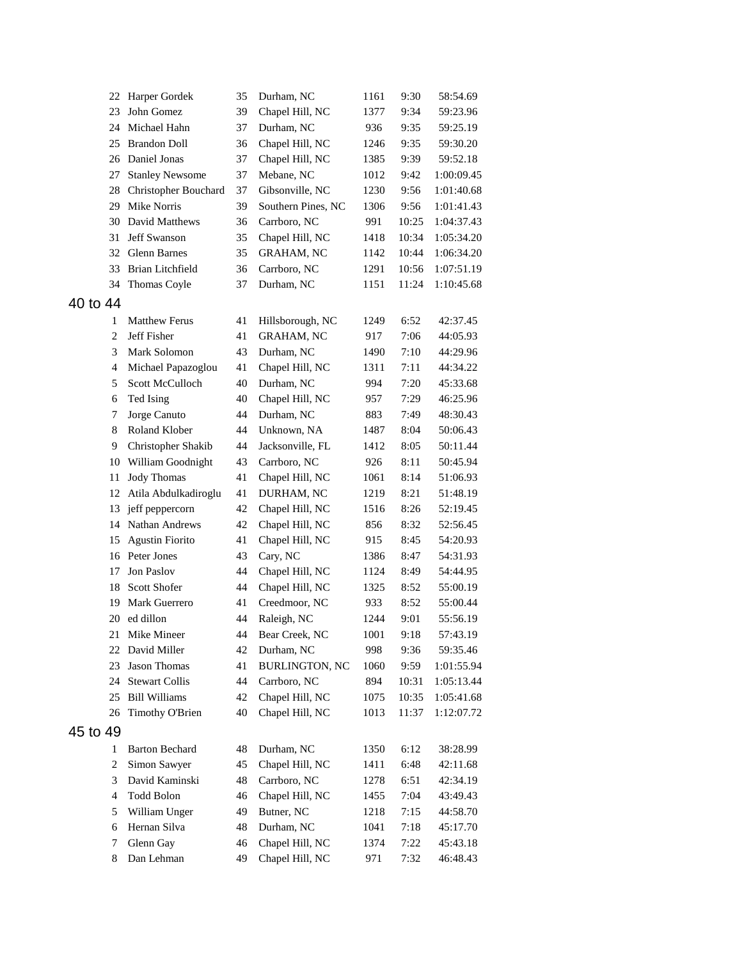| 22             | Harper Gordek           | 35 | Durham, NC            | 1161 | 9:30  | 58:54.69   |
|----------------|-------------------------|----|-----------------------|------|-------|------------|
| 23             | John Gomez              | 39 | Chapel Hill, NC       | 1377 | 9:34  | 59:23.96   |
| 24             | Michael Hahn            | 37 | Durham, NC            | 936  | 9:35  | 59:25.19   |
| 25             | <b>Brandon Doll</b>     | 36 | Chapel Hill, NC       | 1246 | 9:35  | 59:30.20   |
| 26             | Daniel Jonas            | 37 | Chapel Hill, NC       | 1385 | 9:39  | 59:52.18   |
| 27             | <b>Stanley Newsome</b>  | 37 | Mebane, NC            | 1012 | 9:42  | 1:00:09.45 |
| 28             | Christopher Bouchard    | 37 | Gibsonville, NC       | 1230 | 9:56  | 1:01:40.68 |
| 29             | Mike Norris             | 39 | Southern Pines, NC    | 1306 | 9:56  | 1:01:41.43 |
| 30             | David Matthews          | 36 | Carrboro, NC          | 991  | 10:25 | 1:04:37.43 |
| 31             | Jeff Swanson            | 35 | Chapel Hill, NC       | 1418 | 10:34 | 1:05:34.20 |
| 32             | <b>Glenn Barnes</b>     | 35 | <b>GRAHAM, NC</b>     | 1142 | 10:44 | 1:06:34.20 |
| 33             | <b>Brian Litchfield</b> | 36 | Carrboro, NC          | 1291 | 10:56 | 1:07:51.19 |
| 34             | Thomas Coyle            | 37 | Durham, NC            | 1151 | 11:24 | 1:10:45.68 |
| 40 to 44       |                         |    |                       |      |       |            |
| 1              | <b>Matthew Ferus</b>    | 41 | Hillsborough, NC      | 1249 | 6:52  | 42:37.45   |
| $\overline{c}$ | Jeff Fisher             | 41 | <b>GRAHAM, NC</b>     | 917  | 7:06  | 44:05.93   |
| 3              | Mark Solomon            | 43 | Durham, NC            | 1490 | 7:10  | 44:29.96   |
| 4              | Michael Papazoglou      | 41 | Chapel Hill, NC       | 1311 | 7:11  | 44:34.22   |
| 5              | Scott McCulloch         | 40 | Durham, NC            | 994  | 7:20  | 45:33.68   |
| 6              | Ted Ising               | 40 | Chapel Hill, NC       | 957  | 7:29  | 46:25.96   |
| 7              | Jorge Canuto            | 44 | Durham, NC            | 883  | 7:49  | 48:30.43   |
| 8              | Roland Klober           | 44 | Unknown, NA           | 1487 | 8:04  | 50:06.43   |
| 9              | Christopher Shakib      | 44 | Jacksonville, FL      | 1412 | 8:05  | 50:11.44   |
| 10             | William Goodnight       | 43 | Carrboro, NC          | 926  | 8:11  | 50:45.94   |
| 11             | <b>Jody Thomas</b>      | 41 | Chapel Hill, NC       | 1061 | 8:14  | 51:06.93   |
| 12             | Atila Abdulkadiroglu    | 41 | DURHAM, NC            | 1219 | 8:21  | 51:48.19   |
| 13             | jeff peppercorn         | 42 | Chapel Hill, NC       | 1516 | 8:26  | 52:19.45   |
| 14             | Nathan Andrews          | 42 | Chapel Hill, NC       | 856  | 8:32  | 52:56.45   |
| 15             | <b>Agustin Fiorito</b>  | 41 | Chapel Hill, NC       | 915  | 8:45  | 54:20.93   |
| 16             | Peter Jones             | 43 | Cary, NC              | 1386 | 8:47  | 54:31.93   |
| 17             | <b>Jon Paslov</b>       | 44 | Chapel Hill, NC       | 1124 | 8:49  | 54:44.95   |
| 18             | Scott Shofer            | 44 | Chapel Hill, NC       | 1325 | 8:52  | 55:00.19   |
| 19             | Mark Guerrero           | 41 | Creedmoor, NC         | 933  | 8:52  | 55:00.44   |
|                | 20 ed dillon            | 44 | Raleigh, NC           | 1244 | 9:01  | 55:56.19   |
|                | 21 Mike Mineer          | 44 | Bear Creek, NC        | 1001 | 9:18  | 57:43.19   |
| 22             | David Miller            | 42 | Durham, NC            | 998  | 9:36  | 59:35.46   |
| 23             | Jason Thomas            | 41 | <b>BURLINGTON, NC</b> | 1060 | 9:59  | 1:01:55.94 |
| 24             | <b>Stewart Collis</b>   | 44 | Carrboro, NC          | 894  | 10:31 | 1:05:13.44 |
| 25             | <b>Bill Williams</b>    | 42 | Chapel Hill, NC       | 1075 | 10:35 | 1:05:41.68 |
| 26             | Timothy O'Brien         | 40 | Chapel Hill, NC       | 1013 | 11:37 | 1:12:07.72 |
|                |                         |    |                       |      |       |            |
| 45 to 49       |                         |    |                       |      |       |            |
| 1              | <b>Barton Bechard</b>   | 48 | Durham, NC            | 1350 | 6:12  | 38:28.99   |
| $\overline{c}$ | Simon Sawyer            | 45 | Chapel Hill, NC       | 1411 | 6:48  | 42:11.68   |
| 3              | David Kaminski          | 48 | Carrboro, NC          | 1278 | 6:51  | 42:34.19   |
| 4              | Todd Bolon              | 46 | Chapel Hill, NC       | 1455 | 7:04  | 43:49.43   |
| 5              | William Unger           | 49 | Butner, NC            | 1218 | 7:15  | 44:58.70   |
| 6              | Hernan Silva            | 48 | Durham, NC            | 1041 | 7:18  | 45:17.70   |
| 7              | Glenn Gay               | 46 | Chapel Hill, NC       | 1374 | 7:22  | 45:43.18   |
| 8              | Dan Lehman              | 49 | Chapel Hill, NC       | 971  | 7:32  | 46:48.43   |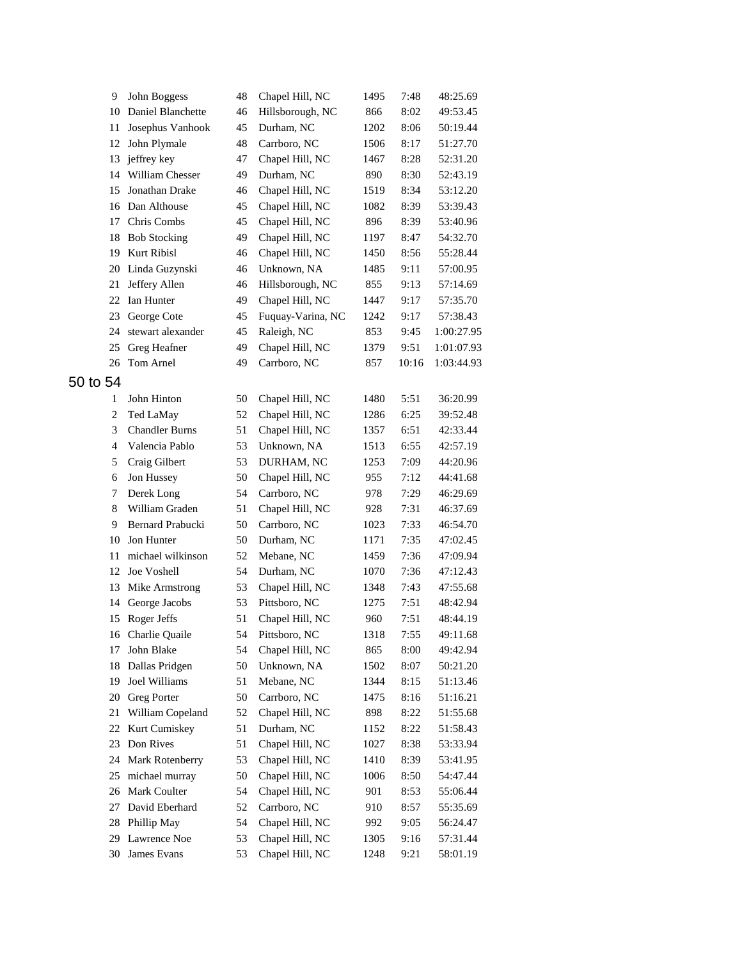| 9              | John Boggess          | 48 | Chapel Hill, NC   | 1495 | 7:48  | 48:25.69   |
|----------------|-----------------------|----|-------------------|------|-------|------------|
| 10             | Daniel Blanchette     | 46 | Hillsborough, NC  | 866  | 8:02  | 49:53.45   |
| 11             | Josephus Vanhook      | 45 | Durham, NC        | 1202 | 8:06  | 50:19.44   |
| 12             | John Plymale          | 48 | Carrboro, NC      | 1506 | 8:17  | 51:27.70   |
| 13             | jeffrey key           | 47 | Chapel Hill, NC   | 1467 | 8:28  | 52:31.20   |
| 14             | William Chesser       | 49 | Durham, NC        | 890  | 8:30  | 52:43.19   |
| 15             | Jonathan Drake        | 46 | Chapel Hill, NC   | 1519 | 8:34  | 53:12.20   |
| 16             | Dan Althouse          | 45 | Chapel Hill, NC   | 1082 | 8:39  | 53:39.43   |
| 17             | Chris Combs           | 45 | Chapel Hill, NC   | 896  | 8:39  | 53:40.96   |
| 18             | <b>Bob Stocking</b>   | 49 | Chapel Hill, NC   | 1197 | 8:47  | 54:32.70   |
| 19             | Kurt Ribisl           | 46 | Chapel Hill, NC   | 1450 | 8:56  | 55:28.44   |
| 20             | Linda Guzynski        | 46 | Unknown, NA       | 1485 | 9:11  | 57:00.95   |
| 21             | Jeffery Allen         | 46 | Hillsborough, NC  | 855  | 9:13  | 57:14.69   |
| 22             | Ian Hunter            | 49 | Chapel Hill, NC   | 1447 | 9:17  | 57:35.70   |
| 23             | George Cote           | 45 | Fuquay-Varina, NC | 1242 | 9:17  | 57:38.43   |
| 24             | stewart alexander     | 45 | Raleigh, NC       | 853  | 9:45  | 1:00:27.95 |
| 25             | Greg Heafner          | 49 | Chapel Hill, NC   | 1379 | 9:51  | 1:01:07.93 |
| 26             | Tom Arnel             | 49 | Carrboro, NC      | 857  | 10:16 | 1:03:44.93 |
| to 54          |                       |    |                   |      |       |            |
| $\mathbf{1}$   | John Hinton           | 50 | Chapel Hill, NC   | 1480 | 5:51  | 36:20.99   |
| $\overline{c}$ | Ted LaMay             | 52 | Chapel Hill, NC   | 1286 | 6:25  | 39:52.48   |
| 3              | <b>Chandler Burns</b> | 51 | Chapel Hill, NC   | 1357 | 6:51  | 42:33.44   |
| 4              | Valencia Pablo        | 53 | Unknown, NA       | 1513 | 6:55  | 42:57.19   |
| 5              | Craig Gilbert         | 53 | DURHAM, NC        | 1253 | 7:09  | 44:20.96   |
| 6              | Jon Hussey            | 50 | Chapel Hill, NC   | 955  | 7:12  | 44:41.68   |
| 7              | Derek Long            | 54 | Carrboro, NC      | 978  | 7:29  | 46:29.69   |
| 8              | William Graden        | 51 | Chapel Hill, NC   | 928  | 7:31  | 46:37.69   |
| 9              | Bernard Prabucki      | 50 | Carrboro, NC      | 1023 | 7:33  | 46:54.70   |
| 10             | Jon Hunter            | 50 | Durham, NC        | 1171 | 7:35  | 47:02.45   |
| 11             | michael wilkinson     | 52 | Mebane, NC        | 1459 | 7:36  | 47:09.94   |
| 12             | Joe Voshell           | 54 | Durham, NC        | 1070 | 7:36  | 47:12.43   |
| 13             | Mike Armstrong        | 53 | Chapel Hill, NC   | 1348 | 7:43  | 47:55.68   |
| 14             | George Jacobs         | 53 | Pittsboro, NC     | 1275 | 7:51  | 48:42.94   |
|                | 15 Roger Jeffs        | 51 | Chapel Hill, NC   | 960  | 7:51  | 48:44.19   |
|                | 16 Charlie Quaile     | 54 | Pittsboro, NC     | 1318 | 7:55  | 49:11.68   |
| 17             | John Blake            | 54 | Chapel Hill, NC   | 865  | 8:00  | 49:42.94   |
| 18             | Dallas Pridgen        | 50 | Unknown, NA       | 1502 | 8:07  | 50:21.20   |
| 19             | Joel Williams         | 51 | Mebane, NC        | 1344 | 8:15  | 51:13.46   |
| 20             | <b>Greg Porter</b>    | 50 | Carrboro, NC      | 1475 | 8:16  | 51:16.21   |
| 21             | William Copeland      | 52 | Chapel Hill, NC   | 898  | 8:22  | 51:55.68   |
| 22             | Kurt Cumiskey         | 51 | Durham, NC        | 1152 | 8:22  | 51:58.43   |
| 23             | Don Rives             | 51 | Chapel Hill, NC   | 1027 | 8:38  | 53:33.94   |
| 24             | Mark Rotenberry       | 53 | Chapel Hill, NC   | 1410 | 8:39  | 53:41.95   |
| 25             | michael murray        | 50 | Chapel Hill, NC   | 1006 | 8:50  | 54:47.44   |
| 26             | Mark Coulter          | 54 | Chapel Hill, NC   | 901  | 8:53  | 55:06.44   |
| 27             | David Eberhard        | 52 | Carrboro, NC      | 910  | 8:57  | 55:35.69   |
| 28             | Phillip May           | 54 | Chapel Hill, NC   | 992  | 9:05  | 56:24.47   |
| 29             | Lawrence Noe          | 53 | Chapel Hill, NC   | 1305 | 9:16  | 57:31.44   |
| 30             | James Evans           | 53 | Chapel Hill, NC   | 1248 | 9:21  | 58:01.19   |
|                |                       |    |                   |      |       |            |

 $50<sub>5</sub>$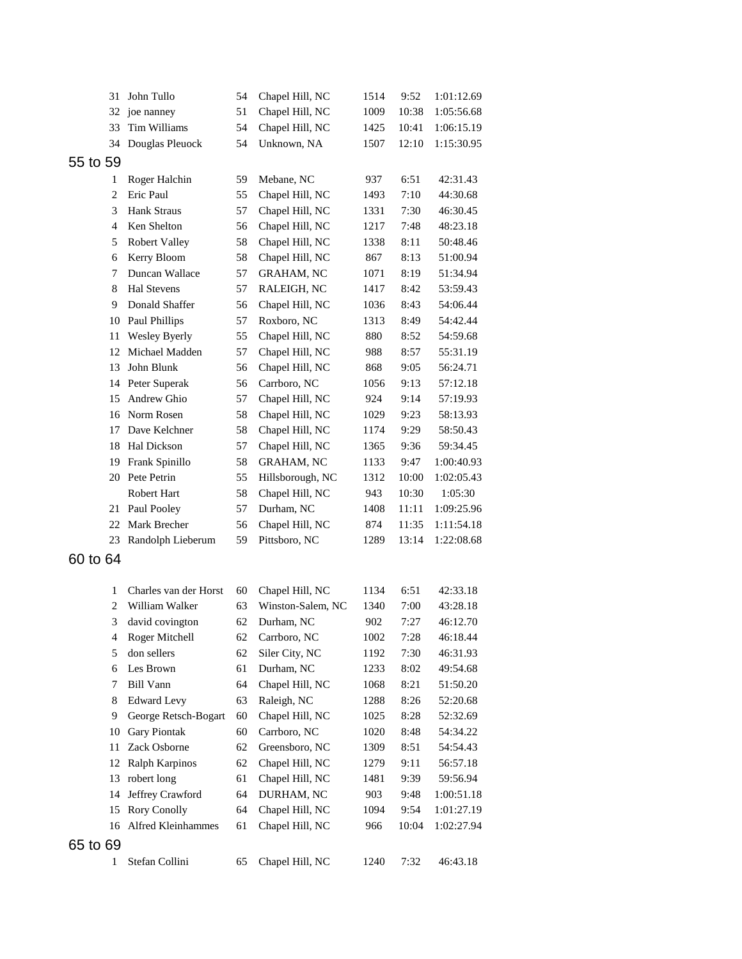| 31       | John Tullo            | 54 | Chapel Hill, NC   | 1514 | 9:52  | 1:01:12.69 |
|----------|-----------------------|----|-------------------|------|-------|------------|
| 32       | joe nanney            | 51 | Chapel Hill, NC   | 1009 | 10:38 | 1:05:56.68 |
| 33       | Tim Williams          | 54 | Chapel Hill, NC   | 1425 | 10:41 | 1:06:15.19 |
| 34       | Douglas Pleuock       | 54 | Unknown, NA       | 1507 | 12:10 | 1:15:30.95 |
| 55 to 59 |                       |    |                   |      |       |            |
| 1        | Roger Halchin         | 59 | Mebane, NC        | 937  | 6:51  | 42:31.43   |
| 2        | Eric Paul             | 55 | Chapel Hill, NC   | 1493 | 7:10  | 44:30.68   |
| 3        | Hank Straus           | 57 | Chapel Hill, NC   | 1331 | 7:30  | 46:30.45   |
| 4        | Ken Shelton           | 56 | Chapel Hill, NC   | 1217 | 7:48  | 48:23.18   |
| 5        | <b>Robert Valley</b>  | 58 | Chapel Hill, NC   | 1338 | 8:11  | 50:48.46   |
| 6        | Kerry Bloom           | 58 | Chapel Hill, NC   | 867  | 8:13  | 51:00.94   |
| 7        | Duncan Wallace        | 57 | GRAHAM, NC        | 1071 | 8:19  | 51:34.94   |
| 8        | <b>Hal Stevens</b>    | 57 | RALEIGH, NC       | 1417 | 8:42  | 53:59.43   |
| 9        | Donald Shaffer        | 56 | Chapel Hill, NC   | 1036 | 8:43  | 54:06.44   |
| 10       | Paul Phillips         | 57 | Roxboro, NC       | 1313 | 8:49  | 54:42.44   |
| 11       | Wesley Byerly         | 55 | Chapel Hill, NC   | 880  | 8:52  | 54:59.68   |
| 12       | Michael Madden        | 57 | Chapel Hill, NC   | 988  | 8:57  | 55:31.19   |
| 13       | John Blunk            | 56 | Chapel Hill, NC   | 868  | 9:05  | 56:24.71   |
| 14       | Peter Superak         | 56 | Carrboro, NC      | 1056 | 9:13  | 57:12.18   |
| 15       | Andrew Ghio           | 57 | Chapel Hill, NC   | 924  | 9:14  | 57:19.93   |
| 16       | Norm Rosen            | 58 | Chapel Hill, NC   | 1029 | 9:23  | 58:13.93   |
| 17       | Dave Kelchner         | 58 | Chapel Hill, NC   | 1174 | 9:29  | 58:50.43   |
| 18       | Hal Dickson           | 57 | Chapel Hill, NC   | 1365 | 9:36  | 59:34.45   |
| 19       | Frank Spinillo        | 58 | <b>GRAHAM, NC</b> | 1133 | 9:47  | 1:00:40.93 |
| 20       | Pete Petrin           | 55 | Hillsborough, NC  | 1312 | 10:00 | 1:02:05.43 |
|          | Robert Hart           | 58 | Chapel Hill, NC   | 943  | 10:30 | 1:05:30    |
| 21       | Paul Pooley           | 57 | Durham, NC        | 1408 | 11:11 | 1:09:25.96 |
| 22       | Mark Brecher          | 56 | Chapel Hill, NC   | 874  | 11:35 | 1:11:54.18 |
| 23       | Randolph Lieberum     | 59 | Pittsboro, NC     | 1289 | 13:14 | 1:22:08.68 |
| 60 to 64 |                       |    |                   |      |       |            |
|          |                       |    |                   |      |       |            |
| 1        | Charles van der Horst | 60 | Chapel Hill, NC   | 1134 | 6:51  | 42:33.18   |
| 2        | William Walker        | 63 | Winston-Salem, NC | 1340 | 7:00  | 43:28.18   |
| 3        | david covington       | 62 | Durham, NC        | 902  | 7:27  | 46:12.70   |
| 4        | Roger Mitchell        | 62 | Carrboro, NC      | 1002 | 7:28  | 46:18.44   |
| 5        | don sellers           | 62 | Siler City, NC    | 1192 | 7:30  | 46:31.93   |
| 6        | Les Brown             | 61 | Durham, NC        | 1233 | 8:02  | 49:54.68   |
| 7        | <b>Bill Vann</b>      | 64 | Chapel Hill, NC   | 1068 | 8:21  | 51:50.20   |
| 8        | <b>Edward Levy</b>    | 63 | Raleigh, NC       | 1288 | 8:26  | 52:20.68   |
| 9        | George Retsch-Bogart  | 60 | Chapel Hill, NC   | 1025 | 8:28  | 52:32.69   |
| 10       | <b>Gary Piontak</b>   | 60 | Carrboro, NC      | 1020 | 8:48  | 54:34.22   |
| 11       | Zack Osborne          | 62 | Greensboro, NC    | 1309 | 8:51  | 54:54.43   |
| 12       | Ralph Karpinos        | 62 | Chapel Hill, NC   | 1279 | 9:11  | 56:57.18   |
| 13       | robert long           | 61 | Chapel Hill, NC   | 1481 | 9:39  | 59:56.94   |
| 14       | Jeffrey Crawford      | 64 | DURHAM, NC        | 903  | 9:48  | 1:00:51.18 |
| 15       | <b>Rory Conolly</b>   | 64 | Chapel Hill, NC   | 1094 | 9:54  | 1:01:27.19 |
| 16       | Alfred Kleinhammes    | 61 | Chapel Hill, NC   | 966  | 10:04 | 1:02:27.94 |
|          |                       |    |                   |      |       |            |
| 65 to 69 |                       |    |                   |      |       |            |
| 1        | Stefan Collini        | 65 | Chapel Hill, NC   | 1240 | 7:32  | 46:43.18   |